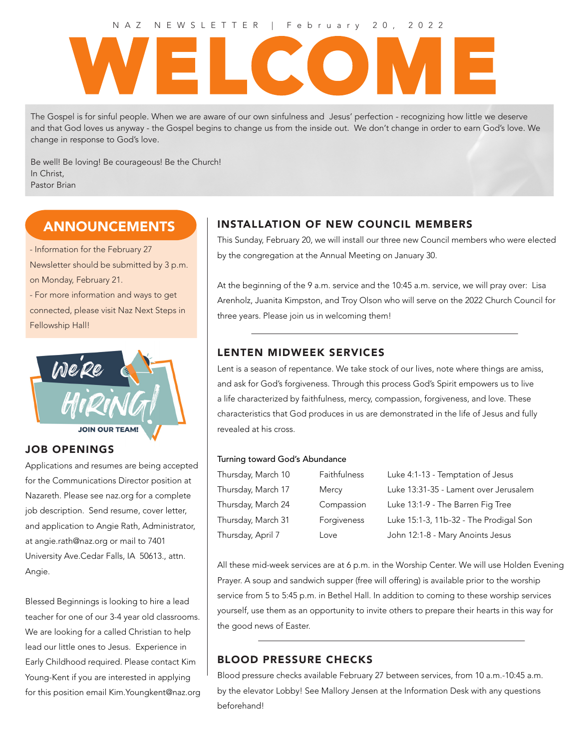#### NAZ NEWSLETTER | February 20, 2022

# WELCOME

The Gospel is for sinful people. When we are aware of our own sinfulness and Jesus' perfection - recognizing how little we deserve and that God loves us anyway - the Gospel begins to change us from the inside out. We don't change in order to earn God's love. We change in response to God's love.

Be well! Be loving! Be courageous! Be the Church! In Christ, Pastor Brian

# **ANNOUNCEMENTS**

- Information for the February 27 Newsletter should be submitted by 3 p.m. on Monday, February 21. - For more information and ways to get

connected, please visit Naz Next Steps in Fellowship Hall!



## JOB OPENINGS

Applications and resumes are being accepted for the Communications Director position at Nazareth. Please see naz.org for a complete job description. Send resume, cover letter, and application to Angie Rath, Administrator, at angie.rath@naz.org or mail to 7401 University Ave.Cedar Falls, IA 50613., attn. Angie.

Blessed Beginnings is looking to hire a lead teacher for one of our 3-4 year old classrooms. We are looking for a called Christian to help lead our little ones to Jesus. Experience in Early Childhood required. Please contact Kim Young-Kent if you are interested in applying for this position email Kim.Youngkent@naz.org

# INSTALLATION OF NEW COUNCIL MEMBERS

This Sunday, February 20, we will install our three new Council members who were elected by the congregation at the Annual Meeting on January 30.

At the beginning of the 9 a.m. service and the 10:45 a.m. service, we will pray over: Lisa Arenholz, Juanita Kimpston, and Troy Olson who will serve on the 2022 Church Council for three years. Please join us in welcoming them!

## LENTEN MIDWEEK SERVICES

Lent is a season of repentance. We take stock of our lives, note where things are amiss, and ask for God's forgiveness. Through this process God's Spirit empowers us to live a life characterized by faithfulness, mercy, compassion, forgiveness, and love. These characteristics that God produces in us are demonstrated in the life of Jesus and fully revealed at his cross.

#### Turning toward God's Abundance

| Thursday, March 10 | Faithfulness | Luke 4:1-13 - Temptation of Jesus      |
|--------------------|--------------|----------------------------------------|
| Thursday, March 17 | Mercy        | Luke 13:31-35 - Lament over Jerusalem  |
| Thursday, March 24 | Compassion   | Luke 13:1-9 - The Barren Fig Tree      |
| Thursday, March 31 | Forgiveness  | Luke 15:1-3, 11b-32 - The Prodigal Son |
| Thursday, April 7  | Love         | John 12:1-8 - Mary Anoints Jesus       |

All these mid-week services are at 6 p.m. in the Worship Center. We will use Holden Evening Prayer. A soup and sandwich supper (free will offering) is available prior to the worship service from 5 to 5:45 p.m. in Bethel Hall. In addition to coming to these worship services yourself, use them as an opportunity to invite others to prepare their hearts in this way for the good news of Easter.

## BLOOD PRESSURE CHECKS

Blood pressure checks available February 27 between services, from 10 a.m.-10:45 a.m. by the elevator Lobby! See Mallory Jensen at the Information Desk with any questions beforehand!